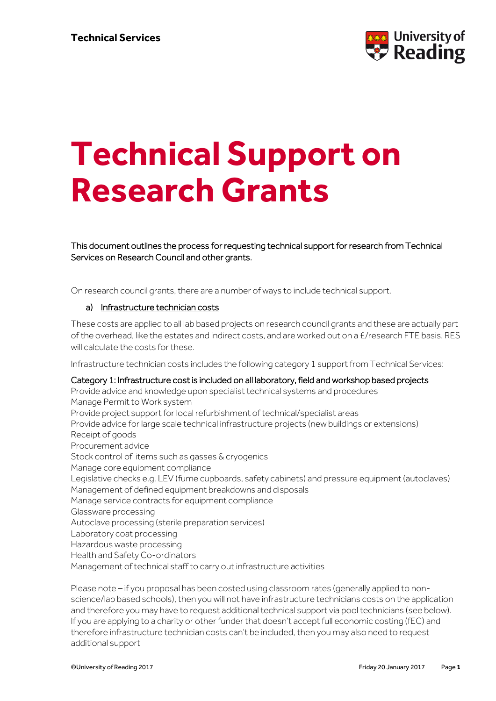

# **Technical Support on Research Grants**

This document outlines the process for requesting technical support for research from Technical Services on Research Council and other grants.

On research council grants, there are a number of ways to include technical support.

### a) Infrastructure technician costs

These costs are applied to all lab based projects on research council grants and these are actually part of the overhead, like the estates and indirect costs, and are worked out on a £/research FTE basis. RES will calculate the costs for these.

Infrastructure technician costs includes the following category 1 support from Technical Services:

#### Category 1: Infrastructure cost is included on all laboratory, field and workshop based projects

Provide advice and knowledge upon specialist technical systems and procedures Manage Permit to Work system Provide project support for local refurbishment of technical/specialist areas Provide advice for large scale technical infrastructure projects (new buildings or extensions) Receipt of goods Procurement advice Stock control of items such as gasses & cryogenics Manage core equipment compliance Legislative checks e.g. LEV (fume cupboards, safety cabinets) and pressure equipment (autoclaves) Management of defined equipment breakdowns and disposals Manage service contracts for equipment compliance Glassware processing Autoclave processing (sterile preparation services) Laboratory coat processing Hazardous waste processing Health and Safety Co-ordinators Management of technical staff to carry out infrastructure activities

Please note – if you proposal has been costed using classroom rates (generally applied to nonscience/lab based schools), then you will not have infrastructure technicians costs on the application and therefore you may have to request additional technical support via pool technicians (see below). If you are applying to a charity or other funder that doesn't accept full economic costing (fEC) and therefore infrastructure technician costs can't be included, then you may also need to request additional support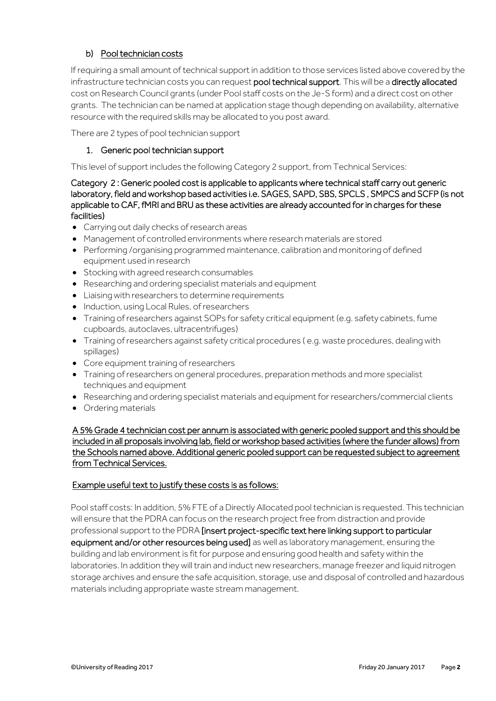# b) Pool technician costs

If requiring a small amount of technical support in addition to those services listed above covered by the infrastructure technician costs you can request pool technical support. This will be a directly allocated cost on Research Council grants (under Pool staff costs on the Je-S form) and a direct cost on other grants. The technician can be named at application stage though depending on availability, alternative resource with the required skills may be allocated to you post award.

There are 2 types of pool technician support

# 1. Generic pool technician support

This level of support includes the following Category 2 support, from Technical Services:

Category 2 : Generic pooled cost is applicable to applicants where technical staff carry out generic laboratory, field and workshop based activities i.e. SAGES, SAPD, SBS, SPCLS , SMPCS and SCFP (is not applicable to CAF, fMRI and BRU as these activities are already accounted for in charges for these facilities)

- Carrying out daily checks of research areas
- Management of controlled environments where research materials are stored
- Performing /organising programmed maintenance, calibration and monitoring of defined equipment used in research
- Stocking with agreed research consumables
- Researching and ordering specialist materials and equipment
- Liaising with researchers to determine requirements
- Induction, using Local Rules, of researchers
- Training of researchers against SOPs for safety critical equipment (e.g. safety cabinets, fume cupboards, autoclaves, ultracentrifuges)
- Training of researchers against safety critical procedures ( e.g. waste procedures, dealing with spillages)
- Core equipment training of researchers
- Training of researchers on general procedures, preparation methods and more specialist techniques and equipment
- Researching and ordering specialist materials and equipment for researchers/commercial clients
- Ordering materials

A 5% Grade 4 technician cost per annum is associated with generic pooled support and this should be included in all proposals involving lab, field or workshop based activities (where the funder allows) from the Schools named above. Additional generic pooled support can be requested subject to agreement from Technical Services.

### Example useful text to justify these costs is as follows:

Pool staff costs: In addition, 5% FTE of a Directly Allocated pool technician is requested. This technician will ensure that the PDRA can focus on the research project free from distraction and provide professional support to the PDRA [insert project-specific text here linking support to particular equipment and/or other resources being used] as well as laboratory management, ensuring the building and lab environment is fit for purpose and ensuring good health and safety within the laboratories. In addition they will train and induct new researchers, manage freezer and liquid nitrogen storage archives and ensure the safe acquisition, storage, use and disposal of controlled and hazardous materials including appropriate waste stream management.